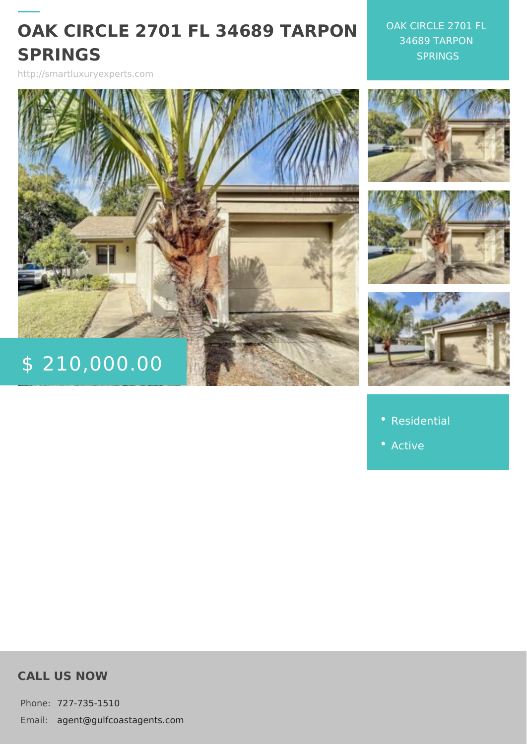# OAK CIRCLE 2701 FL 34689 7 SPRINGS

http://smartluxuryexperts.com

OAK CIRCLE 2701 34689 TARPON SPRINGS

\$ 210,000.

[Residen](http://smartluxuryexperts.com/es_category/residential/)tial

CALL US NOW

Phone727-735-1510 Email:agent@gulfcoastagents.com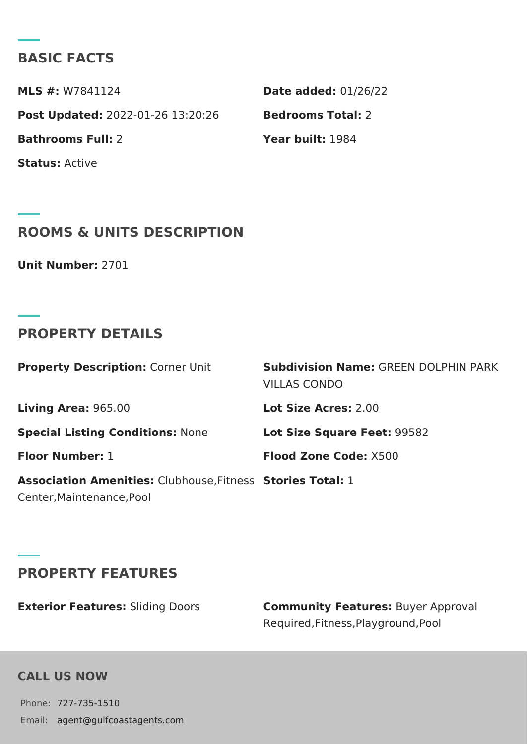### BASIC FACTS

MLS #: W7841124 Date added: 1/26/22 Post Update@022-01-26 13:20:26Bedrooms Total: Bathrooms Full: Year built: 984 StatusActive

### ROOMS & UNITS DESCRIPTION

Unit Number: 701

### PROPERTY DETAILS

|                                                                               | Property DescriptiCorner Unit Subdivision NamGeREEN DOLPHIN P.<br>VILLAS CONDO |  |
|-------------------------------------------------------------------------------|--------------------------------------------------------------------------------|--|
| Living Are 965.00                                                             | Lot Size Acres00                                                               |  |
| Special Listing ConditNoomse:                                                 | Lot Size Square F& \$5.82                                                      |  |
| Floor Numbet:                                                                 | Flood Zone CooKo 5:00                                                          |  |
| Association AmenitCashhouse, Fit8 eassies Total:<br>Center, Maintenance, Pool |                                                                                |  |

### PROPERTY FEATURES

| Exterior Featur&stding Doors | Community FeaturBsyer Approval      |
|------------------------------|-------------------------------------|
|                              | Required, Fitness, Playground, Pool |

#### CALL US NOW

Phone727-735-1510 Email:agent@gulfcoastagents.com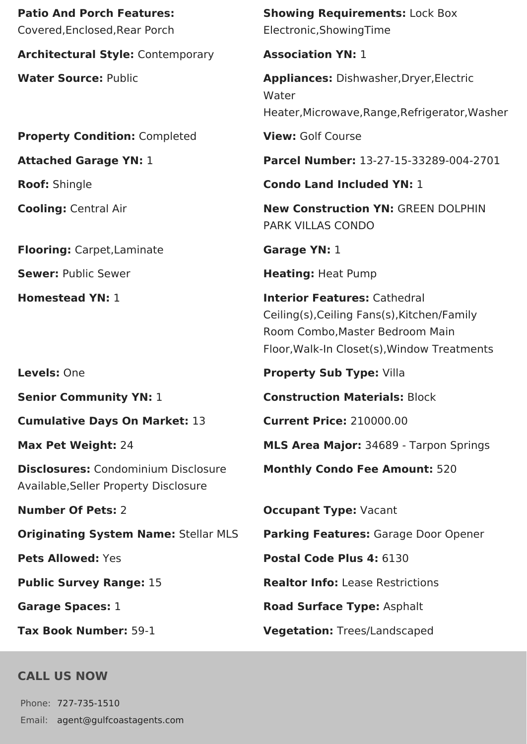**Patio And Porch Features:** Covered,Enclosed,Rear Porch

**Architectural Style:** Contemporary **Association YN:** 1

**Property Condition:** Completed **View:** Golf Course

**Flooring:** Carpet, Laminate **Garage YN:** 1

**Cumulative Days On Market:** 13 **Current Price:** 210000.00

**Disclosures:** Condominium Disclosure Available,Seller Property Disclosure

## **CALL US NOW**

Phone: 727-735-1510 Email: agent@gulfcoastagents.com **Showing Requirements:** Lock Box Electronic,ShowingTime

**Water Source:** Public **Appliances:** Dishwasher,Dryer,Electric Water Heater,Microwave,Range,Refrigerator,Washer

**Attached Garage YN:** 1 **Parcel Number:** 13-27-15-33289-004-2701

**Roof:** Shingle **Condo Land Included YN:** 1

**Cooling:** Central Air **New Construction YN:** GREEN DOLPHIN PARK VILLAS CONDO

**Sewer:** Public Sewer **Heating:** Heat Pump

**Homestead YN:** 1 **Interior Features:** Cathedral Ceiling(s),Ceiling Fans(s),Kitchen/Family Room Combo,Master Bedroom Main Floor,Walk-In Closet(s),Window Treatments

**Levels:** One **Property Sub Type:** Villa

**Senior Community YN: 1 <b>Construction Materials:** Block

**Max Pet Weight:** 24 **MLS Area Major:** 34689 - Tarpon Springs

**Monthly Condo Fee Amount:** 520

**Number Of Pets:** 2 **Occupant Type:** Vacant

**Originating System Name:** Stellar MLS **Parking Features:** Garage Door Opener

**Pets Allowed:** Yes **Postal Code Plus 4:** 6130

**Public Survey Range:** 15 **Realtor Info:** Lease Restrictions

**Garage Spaces:** 1 **Road Surface Type:** Asphalt

**Tax Book Number:** 59-1 **Vegetation:** Trees/Landscaped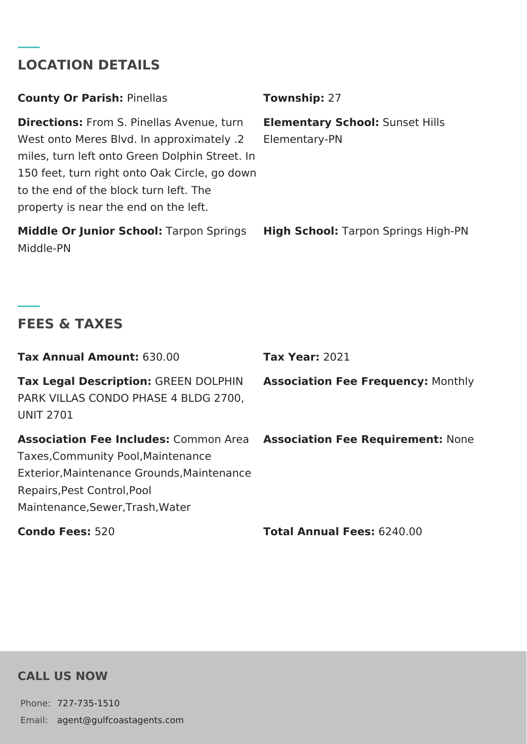# **LOCATION DETAILS**

| <b>County Or Parish: Pinellas</b>                                                                                                                                                                                                          | Township: 27                                            |
|--------------------------------------------------------------------------------------------------------------------------------------------------------------------------------------------------------------------------------------------|---------------------------------------------------------|
| <b>Directions:</b> From S. Pinellas Avenue, turn<br>Nest onto Meres Blvd. In approximately .2<br>miles, turn left onto Green Dolphin Street. In<br>150 feet, turn right onto Oak Circle, go down<br>to the end of the block turn left. The | <b>Elementary School: Sunset Hills</b><br>Elementary-PN |
| property is near the end on the left.                                                                                                                                                                                                      |                                                         |
| <b>Middle Or Junior School: Tarpon Springs</b>                                                                                                                                                                                             | <b>High School:</b> Tarpon Springs High-PN              |

Middle-PN

# **FEES & TAXES**

| Tax Annual Amount: 630.00                                                                                                                                                                           | <b>Tax Year: 2021</b>                     |
|-----------------------------------------------------------------------------------------------------------------------------------------------------------------------------------------------------|-------------------------------------------|
| Tax Legal Description: GREEN DOLPHIN<br>PARK VILLAS CONDO PHASE 4 BLDG 2700,<br><b>UNIT 2701</b>                                                                                                    | <b>Association Fee Frequency: Monthly</b> |
| <b>Association Fee Includes: Common Area</b><br>Taxes, Community Pool, Maintenance<br>Exterior. Maintenance Grounds. Maintenance<br>Repairs, Pest Control, Pool<br>Maintenance, Sewer, Trash, Water | <b>Association Fee Requirement: None</b>  |
| <b>Condo Fees: 520</b>                                                                                                                                                                              | <b>Total Annual Fees: 6240.00</b>         |

### **CALL US NOW**

Phone: 727-735-1510 Email: agent@gulfcoastagents.com